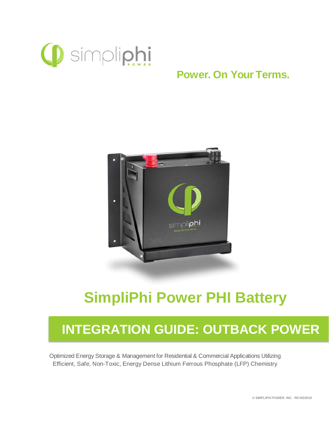

## **Power. On Your Terms.**



# **SimpliPhi Power PHI Battery**

## **INTEGRATION GUIDE: OUTBACK POWER**

Optimized Energy Storage & Management for Residential & Commercial Applications Utilizing Efficient, Safe, Non-Toxic, Energy Dense Lithium Ferrous Phosphate (LFP) Chemistry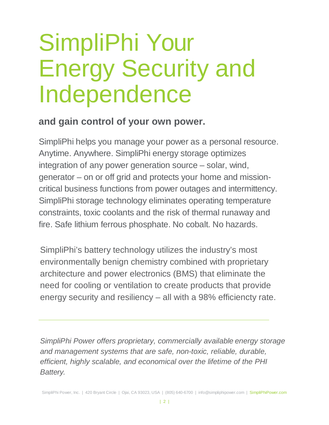# SimpliPhi Your Energy Security and Independence

### **and gain control of your own power.**

SimpliPhi helps you manage your power as a personal resource. Anytime. Anywhere. SimpliPhi energy storage optimizes integration of any power generation source – solar, wind, generator – on or off grid and protects your home and missioncritical business functions from power outages and intermittency. SimpliPhi storage technology eliminates operating temperature constraints, toxic coolants and the risk of thermal runaway and fire. Safe lithium ferrous phosphate. No cobalt. No hazards.

SimpliPhi's battery technology utilizes the industry's most environmentally benign chemistry combined with proprietary architecture and power electronics (BMS) that eliminate the need for cooling or ventilation to create products that provide energy security and resiliency – all with a 98% efficiencty rate.

*SimpliPhi Power offers proprietary, commercially available energy storage and management systems that are safe, non-toxic, reliable, durable, efficient, highly scalable, and economical over the lifetime of the PHI Battery.*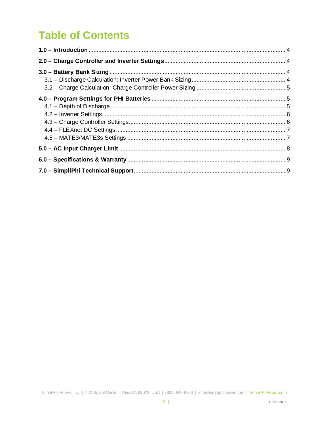## **Table of Contents**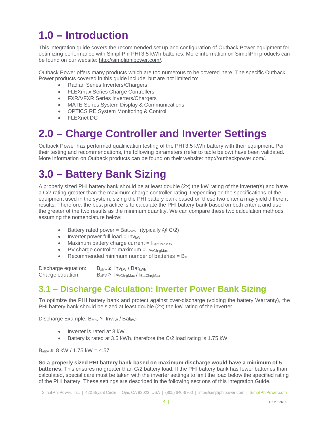## <span id="page-3-0"></span>**1.0 – Introduction**

This integration guide covers the recommended set up and configuration of Outback Power equipment for optimizing performance with SimpliPhi PHI 3.5 kWh batteries. More information on SimpliPhi products can be found on our website: [http://simpliphipower.com/.](http://simpliphipower.com/)

Outback Power offers many products which are too numerous to be covered here. The specific Outback Power products covered in this guide include, but are not limited to:

- Radian Series Inverters/Chargers
- FLEXmax Series Charge Controllers
- FXR/VFXR Series Inverters/Chargers
- MATE Series System Display & Communications
- OPTICS RE System Monitoring & Control
- FLEXnet DC

## <span id="page-3-1"></span>**2.0 – Charge Controller and Inverter Settings**

Outback Power has performed qualification testing of the PHI 3.5 kWh battery with their equipment. Per their testing and recommendations, the following parameters (refer to table below) have been validated. More information on Outback products can be found on their website: [http://outbackpower.com/.](http://outbackpower.com/)

## <span id="page-3-2"></span>**3.0 – Battery Bank Sizing**

A properly sized PHI battery bank should be at least double (2x) the kW rating of the inverter(s) and have a C/2 rating greater than the maximum charge controller rating. Depending on the specifications of the equipment used in the system, sizing the PHI battery bank based on these two criteria may yield different results. Therefore, the best practice is to calculate the PHI battery bank based on both criteria and use the greater of the two results as the minimum quantity. We can compare these two calculation methods assuming the nomenclature below:

- Battery rated power =  $Bat_{kWh}$  (typically  $@C/2$ )
- Inverter power full load =  $Inv_{kW}$
- Maximum battery charge current  $= I_{\text{BatChar}}$
- PV charge controller maximum =  $I_{PVChraMax}$
- Recommended minimum number of batteries =  $B_{#}$

Discharge equation:  $B_{\# Inv} \geq Inv_{kW} / Bat_{kWh}$ Charge equation:  $B_{\text{#PV}} \geq I_{\text{PVChrqMax}}/I_{\text{BatChrqMax}}$ 

#### <span id="page-3-3"></span>**3.1 – Discharge Calculation: Inverter Power Bank Sizing**

To optimize the PHI battery bank and protect against over-discharge (voiding the battery Warranty), the PHI battery bank should be sized at least double (2x) the kW rating of the inverter.

Discharge Example:  $B_{#Inv}$  ≥ Inv<sub>kW</sub> / Bat<sub>kWh</sub>

- Inverter is rated at 8 kW
- Battery is rated at 3.5 kWh, therefore the C/2 load rating is 1.75 kW

 $B_{\#}$   $\geq 8$  kW / 1.75 kW = 4.57

**So a properly sized PHI battery bank based on maximum discharge would have a minimum of 5 batteries.** This ensures no greater than C/2 battery load. If the PHI battery bank has fewer batteries than calculated, special care must be taken with the inverter settings to limit the load below the specified rating of the PHI battery. These settings are described in the following sections of this Integration Guide.

SimpliPhi Power, Inc. | 420 Bryant Circle | Ojai, CA 93023, USA | (805) 640-6700 | info@simpliphipower.com | SimpliPhiPower.com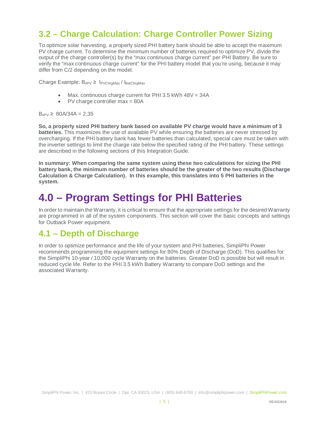#### <span id="page-4-0"></span>**3.2 – Charge Calculation: Charge Controller Power Sizing**

To optimize solar harvesting, a properly sized PHI battery bank should be able to accept the maximum PV charge current. To determine the minimum number of batteries required to optimize PV, divide the output of the charge controller(s) by the "max continuous charge current" per PHI Battery. Be sure to verify the "max continuous charge current" for the PHI battery model that you're using, because it may differ from C/2 depending on the model.

Charge Example:  $B_{\#PV} \geq 1_{PVChrgMax}/I_{BatChrgMax}$ 

- Max. continuous charge current for PHI 3.5 kWh 48V = 34A
- PV charge controller max = 80A

 $B_{\text{HPV}} \geq 80A/34A = 2.35$ 

**So, a properly sized PHI battery bank based on available PV charge would have a minimum of 3 batteries.** This maximizes the use of available PV while ensuring the batteries are never stressed by overcharging. If the PHI battery bank has fewer batteries than calculated, special care must be taken with the inverter settings to limit the charge rate below the specified rating of the PHI battery. These settings are described in the following sections of this Integration Guide.

**In summary: When comparing the same system using these two calculations for sizing the PHI battery bank, the minimum number of batteries should be the greater of the two results (Discharge Calculation & Charge Calculation). In this example, this translates into 5 PHI batteries in the system.**

## <span id="page-4-1"></span>**4.0 – Program Settings for PHI Batteries**

In order to maintain the Warranty, it is critical to ensure that the appropriate settings for the desired Warranty are programmed in all of the system components. This section will cover the basic concepts and settings for Outback Power equipment.

#### <span id="page-4-2"></span>**4.1 – Depth of Discharge**

In order to optimize performance and the life of your system and PHI batteries, SimpliPhi Power recommends programming the equipment settings for 80% Depth of Discharge (DoD). This qualifies for the SimpliPhi 10-year / 10,000 cycle Warranty on the batteries. Greater DoD is possible but will result in reduced cycle life. Refer to the PHI 3.5 kWh Battery Warranty to compare DoD settings and the associated Warranty.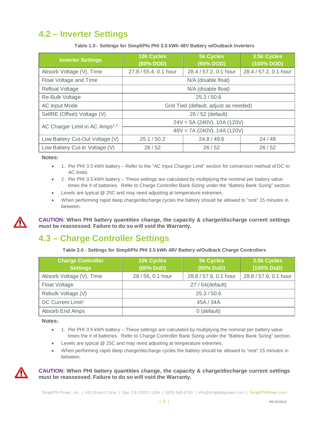#### <span id="page-5-0"></span>**4.2 – Inverter Settings**

| <b>Inverter Settings</b>                   | <b>10k Cycles</b><br>(80% DOD)        | <b>5k Cycles</b><br>(90% DOD) | 3.5k Cycles<br>$(100\%$ DOD) |  |
|--------------------------------------------|---------------------------------------|-------------------------------|------------------------------|--|
| Absorb Voltage (V), Time                   | 27.8 / 55.4, 0.1 hour                 | 28.4 / 57.2, 0.1 hour         | 28.4 / 57.2, 0.1 hour        |  |
| Float Voltage and Time                     | N/A (disable float)                   |                               |                              |  |
| <b>Refloat Voltage</b>                     | N/A (disable float)                   |                               |                              |  |
| Re-Bulk Voltage                            | 25.3/50.6                             |                               |                              |  |
| <b>AC Input Mode</b>                       | Grid Tied (default, adjust as needed) |                               |                              |  |
| SelIRE (Offset) Voltage (V)                | 26 / 52 (default)                     |                               |                              |  |
| AC Charger Limit in AC Amps <sup>1,2</sup> | $24V = 5A (240V), 10A (120V)$         |                               |                              |  |
|                                            | $48V = 7A (240V), 14A (120V)$         |                               |                              |  |
| Low Battery Cut-Out Voltage (V)            | 25.1 / 50.2                           | 24.8 / 49.6                   | 24/48                        |  |
| Low Battery Cut-In Voltage (V)             | 26/52                                 | 26/52                         | 26/52                        |  |

**Table 1.0 - Settings for SimpliPhi PHI 3.5 kWh 48V Battery w/Outback Inverters**

**Notes:**

- 1. Per PHI 3.5 kWh battery Refer to the "AC Input Charger Limit" section for conversion method of DC to AC limits.
- 2. Per PHI 3.5 kWh battery These settings are calculated by multiplying the nominal per battery value times the # of batteries. Refer to Charge Controller Bank Sizing under the "Battery Bank Sizing" section.
- Levels are typical @ 25C and may need adjusting at temperature extremes.
- When performing rapid deep charge/discharge cycles the battery should be allowed to "rest" 15 minutes in between.



**CAUTION: When PHI battery quantities change, the capacity & charge/discharge current settings must be reassessed. Failure to do so will void the Warranty.**

#### <span id="page-5-1"></span>**4.3 – Charge Controller Settings**

**Table 2.0 - Settings for SimpliPhi PHI 3.5 kWh 48V Battery w/Outback Charge Controllers**

| <b>Charge Controller</b><br><b>Settings</b> | <b>10k Cycles</b><br>(80% DoD) | <b>5k Cycles</b><br>(90% DoD) | 3.5k Cycles<br>(100% DoD) |  |
|---------------------------------------------|--------------------------------|-------------------------------|---------------------------|--|
| Absorb Voltage (V), Time                    | 28 / 56, 0.1 hour              | 28.8 / 57.6, 0.1 hour         | 28.8 / 57.6, 0.1 hour     |  |
| Float Voltage                               | 27 / 54 (default)              |                               |                           |  |
| Rebulk Voltage (V)                          | 25.3/50.6                      |                               |                           |  |
| DC Current Limit <sup>1</sup>               | 45A / 34A                      |                               |                           |  |
| Absorb End Amps                             | 0 (default)                    |                               |                           |  |

**Notes:**

- 1. Per PHI 3.5 kWh battery These settings are calculated by multiplying the nominal per battery value times the # of batteries. Refer to Charge Controller Bank Sizing under the "Battery Bank Sizing" section.
- Levels are typical @ 25C and may need adjusting at temperature extremes.
- When performing rapid deep charge/discharge cycles the battery should be allowed to "rest" 15 minutes in between.



**CAUTION: When PHI battery quantities change, the capacity & charge/discharge current settings must be reassessed. Failure to do so will void the Warranty.**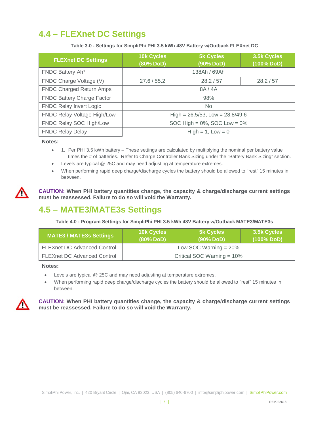#### <span id="page-6-0"></span>**4.4 – FLEXnet DC Settings**

**Table 3.0 - Settings for SimpliPhi PHI 3.5 kWh 48V Battery w/Outback FLEXnet DC**

| <b>FLEXnet DC Settings</b>        | 10k Cycles<br>$(80\%$ DoD)           | <b>5k Cycles</b><br>(90% DoD) | 3.5k Cycles<br>$(100%$ DoD) |  |
|-----------------------------------|--------------------------------------|-------------------------------|-----------------------------|--|
| FNDC Battery Ah <sup>1</sup>      | 138Ah / 69Ah                         |                               |                             |  |
| FNDC Charge Voltage (V)           | 27.6 / 55.2                          | 28.2 / 57                     | 28.2 / 57                   |  |
| <b>FNDC Charged Return Amps</b>   | 8A/4A                                |                               |                             |  |
| <b>FNDC Battery Charge Factor</b> | 98%                                  |                               |                             |  |
| <b>FNDC Relay Invert Logic</b>    | <b>No</b>                            |                               |                             |  |
| FNDC Relay Voltage High/Low       | High = $26.5/53$ , Low = $28.8/49.6$ |                               |                             |  |
| FNDC Relay SOC High/Low           | SOC High = $0\%$ , SOC Low = $0\%$   |                               |                             |  |
| <b>FNDC Relay Delay</b>           |                                      | $High = 1, Low = 0$           |                             |  |

#### **Notes:**

- 1. Per PHI 3.5 kWh battery These settings are calculated by multiplying the nominal per battery value times the # of batteries. Refer to Charge Controller Bank Sizing under the "Battery Bank Sizing" section.
- Levels are typical @ 25C and may need adjusting at temperature extremes.
- When performing rapid deep charge/discharge cycles the battery should be allowed to "rest" 15 minutes in between.

**CAUTION: When PHI battery quantities change, the capacity & charge/discharge current settings must be reassessed. Failure to do so will void the Warranty.**

#### <span id="page-6-1"></span>**4.5 – MATE3/MATE3s Settings**

**Table 4.0 - Program Settings for SimpliPhi PHI 3.5 kWh 48V Battery w/Outback MATE3/MATE3s**

| <b>MATE3 / MATE3s Settings</b>     | <b>10k Cycles</b><br>$(80\%$ DoD) | <b>5k Cycles</b><br>$(90\%$ DoD) | 3.5k Cycles<br>$(100\%$ DoD) |
|------------------------------------|-----------------------------------|----------------------------------|------------------------------|
| <b>FLEXnet DC Advanced Control</b> | Low SOC Warning $= 20\%$          |                                  |                              |
| <b>FLEXnet DC Advanced Control</b> | Critical SOC Warning $= 10\%$     |                                  |                              |

**Notes:**

- Levels are typical @ 25C and may need adjusting at temperature extremes.
- When performing rapid deep charge/discharge cycles the battery should be allowed to "rest" 15 minutes in between.



**CAUTION: When PHI battery quantities change, the capacity & charge/discharge current settings must be reassessed. Failure to do so will void the Warranty.**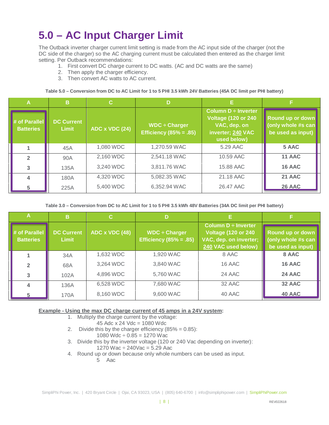## <span id="page-7-0"></span>**5.0 – AC Input Charger Limit**

The Outback inverter charger current limit setting is made from the AC input side of the charger (not the DC side of the charger) so the AC charging current must be calculated then entered as the charger limit setting. Per Outback recommendations:

- 1. First convert DC charge current to DC watts. (AC and DC watts are the same)
- 2. Then apply the charger efficiency.
- 3. Then convert AC watts to AC current.

**Table 5.0 – Conversion from DC to AC Limit for 1 to 5 PHI 3.5 kWh 24V Batteries (45A DC limit per PHI battery)**

| $\mathbf{A}$                      | B                                 | $\mathbf C$    | D                                                   |                                                                                                       |                                                             |
|-----------------------------------|-----------------------------------|----------------|-----------------------------------------------------|-------------------------------------------------------------------------------------------------------|-------------------------------------------------------------|
| # of Parallel<br><b>Batteries</b> | <b>DC Current</b><br><b>Limit</b> | ADC x VDC (24) | $WDC \div Charger$<br><b>Efficiency (85% = .85)</b> | Column D ÷ Inverter<br><b>Voltage (120 or 240</b><br>VAC, dep. on<br>inverter; 240 VAC<br>used below) | Round up or down<br>(only whole #s can<br>be used as input) |
|                                   | 45A                               | 1,080 WDC      | 1,270.59 WAC                                        | 5.29 AAC                                                                                              | 5 AAC                                                       |
| $\overline{2}$                    | 90A                               | 2,160 WDC      | 2,541.18 WAC                                        | 10.59 AAC                                                                                             | 11 AAC                                                      |
| 3                                 | 135A                              | 3,240 WDC      | 3,811.76 WAC                                        | 15.88 AAC                                                                                             | 16 AAC                                                      |
| $\overline{\mathbf{4}}$           | 180A                              | 4,320 WDC      | 5,082.35 WAC                                        | 21.18 AAC                                                                                             | 21 AAC                                                      |
| 5                                 | 225A                              | 5,400 WDC      | 6,352.94 WAC                                        | 26.47 AAC                                                                                             | 26 AAC                                                      |

**Table 3.0 – Conversion from DC to AC Limit for 1 to 5 PHI 3.5 kWh 48V Batteries (34A DC limit per PHI battery)**

| Α                                 | в                                 | $\mathbf{C}$   | D                                                   | Е                                                                                                        |                                                             |
|-----------------------------------|-----------------------------------|----------------|-----------------------------------------------------|----------------------------------------------------------------------------------------------------------|-------------------------------------------------------------|
| # of Parallel<br><b>Batteries</b> | <b>DC Current</b><br><b>Limit</b> | ADC x VDC (48) | $WDC \div Charger$<br><b>Efficiency (85% = .85)</b> | Column $D \div$ Inverter<br><b>Voltage (120 or 240)</b><br>VAC, dep. on inverter;<br>240 VAC used below) | Round up or down<br>(only whole #s can<br>be used as input) |
|                                   | 34A                               | 1,632 WDC      | 1,920 WAC                                           | 8 AAC                                                                                                    | 8 AAC                                                       |
| $\overline{2}$                    | 68A                               | 3,264 WDC      | 3,840 WAC                                           | 16 AAC                                                                                                   | 16 AAC                                                      |
| 3                                 | 102A                              | 4,896 WDC      | 5,760 WAC                                           | 24 AAC                                                                                                   | 24 AAC                                                      |
| 4                                 | 136A                              | 6,528 WDC      | 7,680 WAC                                           | 32 AAC                                                                                                   | 32 AAC                                                      |
| 5                                 | 170A                              | 8,160 WDC      | 9,600 WAC                                           | 40 AAC                                                                                                   | 40 AAC                                                      |

**Example - Using the max DC charge current of 45 amps in a 24V system:**

#### 1. Multiply the charge current by the voltage:

- 45 Adc x 24 Vdc = 1080 Wdc
- 2. Divide this by the charger efficiency  $(85\% = 0.85)$ :
	- 1080 Wdc  $\div$  0.85 = 1270 Wac
- 3. Divide this by the inverter voltage (120 or 240 Vac depending on inverter):
	- 1270 Wac  $\div$  240Vac = 5.29 Aac
- 4. Round up or down because only whole numbers can be used as input.
	- 5 Aac